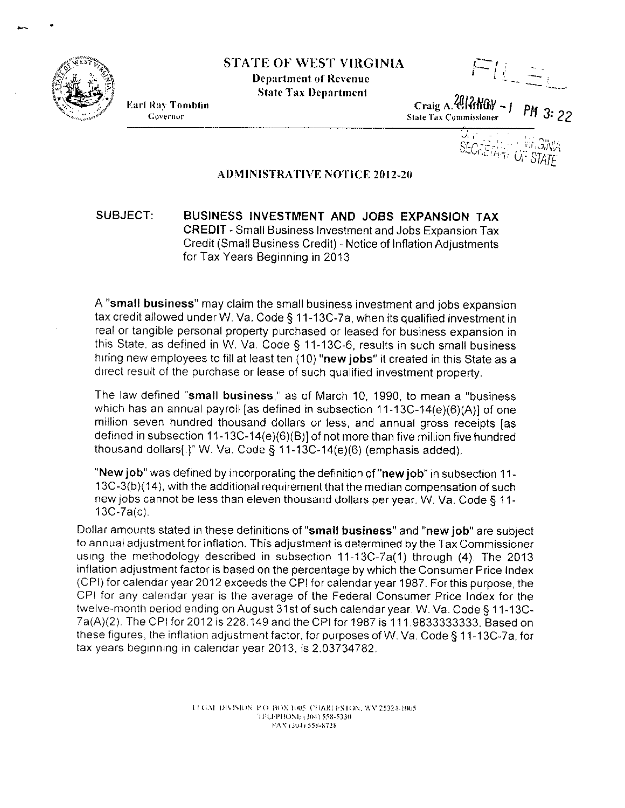

STATE OF WEST VIRGINIA

Department of Revenue **State Tax Department** 

 $FL \gtrsim$ 

**Earl Ray Tomblin** Governor

Craig A.*~J.(fNay -I PH* **Shih: Tax Commissioner 3: 22**

 $\epsilon$ ,

*. :,"\_' i-\_-,- ...\_.''...\_ ',.':,.*"I' II . ....C I ,~.I ,JrI\}I~ *v.\_* I". *:h-, 'Ji'STATE*

AJ)MINISTRATIVE NOTICE 2012-20

## SUBJECT: BUSINESS INVESTMENT AND JOBS EXPANSION TAX CREDIT - Small Business Investment and Jobs Expansion Tax Credit (Small Business Credit) - Notice of Inflation Adjustments for Tax Years Beginning in 2013

A "small business" may claim the small business investment and jobs expansion tax credit allowed under W. Va. Code § 11-13C-7a, when its qualified investment in real or tangible personal property purchased or leased for business expansion in this State, as defined in W. Va Code S 11-13C-6, results in such small business hiring new employees to fill at least ten (10) "new jobs" it created in this State as a direct result of the purchase or lease of such qualified investment property.

The law defined "small business," as of March 10, 1990, to mean a "business which has an annual payroll [as defined in subsection 11-13C-14(e)(6)(A)] of one million seven hundred thousand dollars or less, and annual gross receipts [as defined in subsection 11-13C-14(e)(6)(B)] of not more than five million five hundred thousand dollars $[.]$ " W. Va. Code § 11-13C-14(e)(6) (emphasis added).

"New job" was defined by incorporating the definition of "new job" in subsection 11- 13C-3(b)( 14), with the additional requirement that the median compensation of such new jobs cannot be less than eleven thousand dollars per year. W. Va. Code § 11-13C-7a(c).

Dollar amounts stated in these definitions of "small business" and "new job" are subject to annual adjustment for inflation. This adjustment is determined by the Tax Commissioner using the methodology described in subsection 11-13C-7a(1) through (4). The 2013 inflation adjustment factor is based on the percentage by which the Consumer Price Index (CPI) for calendar year 2012 exceeds the CPI for calendar year 1987. For this purpose, the CPI for any calendar year is the average of the Federal Consumer Price Index for the twelve-month period ending on August 31st of such calendar year. W. Va. Code S 11-13C-7a(A)(2). The CPI for 2012 is 228149 and the CPI for 1987 is 1119833333333. Based on these figures, the inflation adjustment factor, for purposes of W. Va. Code S 11-13C-7a, for tax years beginning in calendar year 2013, is 2.03734782.

> If GAI. DIVISION: P.O. BOX 1005. CHARLESTON, WV 25324-1005. "j FLFPI 10\1,; \ 30.\) 5."S-5330 FAX (304) 558-8728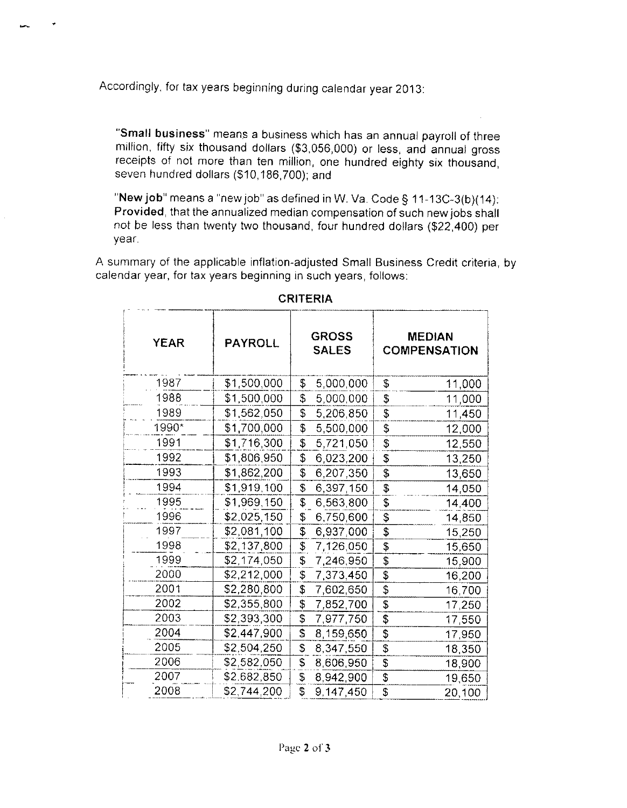Accordingly, for tax years beginning during calendar year 2013:

"Small business" means a business which has an annual payroll of three million, fifty six thousand dollars (\$3,056,000) or less, and annual gross receipts of not more than ten million, one hundred eighty six thousand. seven hundred dollars (\$10,186,700); and

"New job" means a "new job" as defined in W. Va. Code § 11-13C-3(b)(14): Provided, that the annualized median compensation of such new jobs shall not be less than twenty two thousand, four hundred dollars (\$22,400) per year.

A summary of the applicable inflation-adjusted Small Business Credit criteria, by calendar year, for tax years beginning in such years, follows:

| <b>YEAR</b> | <b>PAYROLL</b> | <b>GROSS</b><br><b>SALES</b>         | <b>MEDIAN</b><br><b>COMPENSATION</b> |  |
|-------------|----------------|--------------------------------------|--------------------------------------|--|
| 1987        | \$1,500,000    | \$<br>5,000,000                      | \$<br>11,000                         |  |
| 1988        | \$1,500,000    | \$<br>5,000,000                      | \$<br>11,000                         |  |
| 1989        | \$1,562,050    | \$<br>5,206,850                      | \$<br>11,450                         |  |
| 1990*       | \$1,700,000    | \$<br>5,500,000                      | \$<br>12,000                         |  |
| 1991        | \$1,716,300    | \$<br>5,721,050                      | \$<br>12,550                         |  |
| 1992        | \$1,806,950    | \$<br>6,023,200                      | \$<br>13,250                         |  |
| 1993        | \$1,862,200    | \$<br>6,207,350                      | \$<br>13,650                         |  |
| 1994        | \$1,919,100    | \$<br>6,397,150                      | \$<br>14,050                         |  |
| 1995        | \$1,969,150    | \$<br>6,563,800                      | \$<br>14,400                         |  |
| 1996        | \$2,025,150    | \$<br>6,750,600                      | \$<br>14,850                         |  |
| 1997        | \$2,081,100    | \$<br>6,937,000                      | \$<br>15,250                         |  |
| 1998        | \$2,137,800    | \$<br>7,126,050                      | $\overline{\mathfrak{s}}$<br>15,650  |  |
| 1999        | \$2,174,050    | $\pmb{\mathbb{S}}$<br>7,246,950      | S<br>15,900                          |  |
| 2000        | \$2,212,000    | \$<br>7,373,450                      | $\overline{\mathfrak{s}}$<br>16,200  |  |
| 2001        | \$2,280,800    | \$<br>7,602,650                      | \$<br>16,700                         |  |
| 2002        | \$2,355,800    | \$<br>7,852,700                      | \$<br>17,250                         |  |
| 2003        | \$2,393,300    | \$<br>7,977,750                      | \$<br>17,550                         |  |
| 2004        | \$2,447,900    | $\overline{\mathbf{s}}$<br>8,159,650 | \$<br>17,950                         |  |
| 2005        | \$2,504,250    | \$<br>8,347,550                      | \$<br>18,350                         |  |
| 2006        | \$2,582,050    | \$<br>8,606,950                      | \$<br>18,900                         |  |
| 2007        | \$2,682,850    | \$<br>8,942,900                      | \$<br>19,650                         |  |
| 2008        | \$2,744,200    | \$<br>9,147,450                      | $\overline{\mathcal{S}}$<br>20,100   |  |

## **CRITERIA**